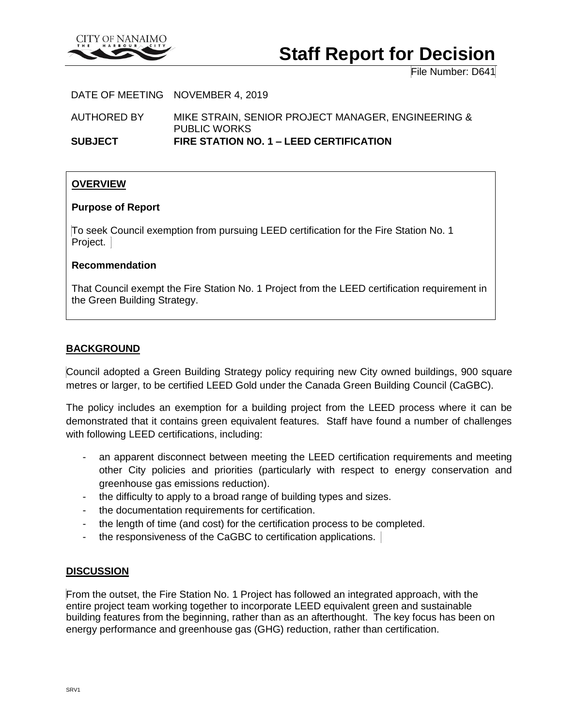

# **Staff Report for Decision**

File Number: D641

DATE OF MEETING NOVEMBER 4, 2019

AUTHORED BY MIKE STRAIN, SENIOR PROJECT MANAGER, ENGINEERING & PUBLIC WORKS **SUBJECT FIRE STATION NO. 1 – LEED CERTIFICATION**

# **OVERVIEW**

#### **Purpose of Report**

To seek Council exemption from pursuing LEED certification for the Fire Station No. 1 Project.

#### **Recommendation**

That Council exempt the Fire Station No. 1 Project from the LEED certification requirement in the Green Building Strategy.

# **BACKGROUND**

Council adopted a Green Building Strategy policy requiring new City owned buildings, 900 square metres or larger, to be certified LEED Gold under the Canada Green Building Council (CaGBC).

The policy includes an exemption for a building project from the LEED process where it can be demonstrated that it contains green equivalent features. Staff have found a number of challenges with following LEED certifications, including:

- an apparent disconnect between meeting the LEED certification requirements and meeting other City policies and priorities (particularly with respect to energy conservation and greenhouse gas emissions reduction).
- the difficulty to apply to a broad range of building types and sizes.
- the documentation requirements for certification.
- the length of time (and cost) for the certification process to be completed.
- the responsiveness of the CaGBC to certification applications.

#### **DISCUSSION**

From the outset, the Fire Station No. 1 Project has followed an integrated approach, with the entire project team working together to incorporate LEED equivalent green and sustainable building features from the beginning, rather than as an afterthought. The key focus has been on energy performance and greenhouse gas (GHG) reduction, rather than certification.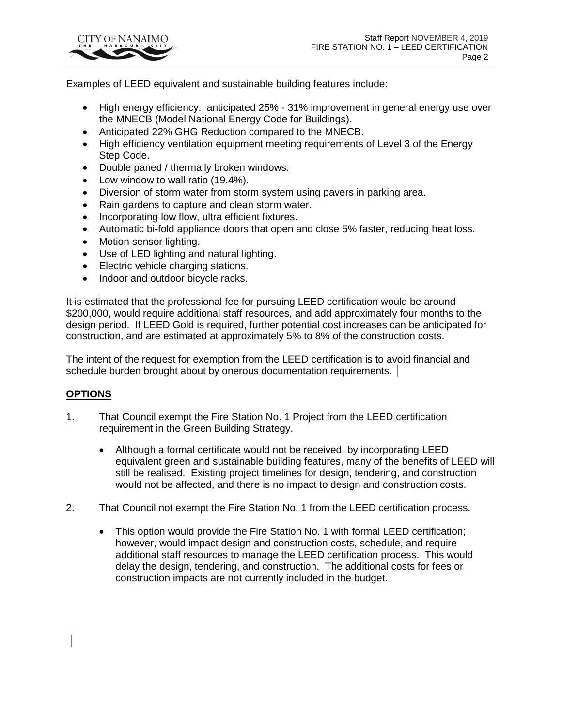

Examples of LEED equivalent and sustainable building features include:

- High energy efficiency: anticipated 25% 31% improvement in general energy use over the MNECB (Model National Energy Code for Buildings).
- Anticipated 22% GHG Reduction compared to the MNECB.
- High efficiency ventilation equipment meeting requirements of Level 3 of the Energy Step Code.
- Double paned / thermally broken windows.
- Low window to wall ratio (19.4%).
- Diversion of storm water from storm system using pavers in parking area.
- Rain gardens to capture and clean storm water.
- Incorporating low flow, ultra efficient fixtures.
- Automatic bi-fold appliance doors that open and close 5% faster, reducing heat loss.
- Motion sensor lighting.
- Use of LED lighting and natural lighting.
- Electric vehicle charging stations.
- Indoor and outdoor bicycle racks.

It is estimated that the professional fee for pursuing LEED certification would be around \$200,000, would require additional staff resources, and add approximately four months to the design period. If LEED Gold is required, further potential cost increases can be anticipated for construction, and are estimated at approximately 5% to 8% of the construction costs.

The intent of the request for exemption from the LEED certification is to avoid financial and schedule burden brought about by onerous documentation requirements.

# **OPTIONS**

- 1. That Council exempt the Fire Station No. 1 Project from the LEED certification requirement in the Green Building Strategy.
	- Although a formal certificate would not be received, by incorporating LEED equivalent green and sustainable building features, many of the benefits of LEED will still be realised. Existing project timelines for design, tendering, and construction would not be affected, and there is no impact to design and construction costs.
- 2. That Council not exempt the Fire Station No. 1 from the LEED certification process.
	- This option would provide the Fire Station No. 1 with formal LEED certification; however, would impact design and construction costs, schedule, and require additional staff resources to manage the LEED certification process. This would delay the design, tendering, and construction. The additional costs for fees or construction impacts are not currently included in the budget.